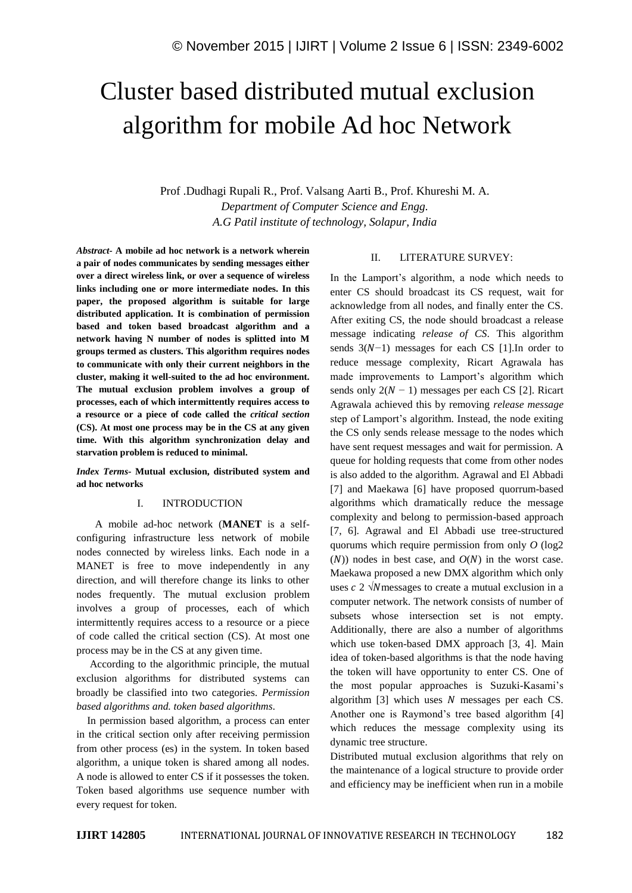# Cluster based distributed mutual exclusion algorithm for mobile Ad hoc Network

Prof .Dudhagi Rupali R., Prof. Valsang Aarti B., Prof. Khureshi M. A. *Department of Computer Science and Engg. A.G Patil institute of technology, Solapur, India*

*Abstract-* **A mobile ad hoc network is a network wherein a pair of nodes communicates by sending messages either over a direct wireless link, or over a sequence of wireless links including one or more intermediate nodes. In this paper, the proposed algorithm is suitable for large distributed application. It is combination of permission based and token based broadcast algorithm and a network having N number of nodes is splitted into M groups termed as clusters. This algorithm requires nodes to communicate with only their current neighbors in the cluster, making it well-suited to the ad hoc environment. The mutual exclusion problem involves a group of processes, each of which intermittently requires access to a resource or a piece of code called the** *critical section*  **(CS). At most one process may be in the CS at any given time. With this algorithm synchronization delay and starvation problem is reduced to minimal.**

*Index Terms-* **Mutual exclusion, distributed system and ad hoc networks**

#### I. INTRODUCTION

 A mobile ad-hoc network (**MANET** is a selfconfiguring infrastructure less network of mobile nodes connected by wireless links. Each node in a MANET is free to move independently in any direction, and will therefore change its links to other nodes frequently. The mutual exclusion problem involves a group of processes, each of which intermittently requires access to a resource or a piece of code called the critical section (CS). At most one process may be in the CS at any given time.

 According to the algorithmic principle, the mutual exclusion algorithms for distributed systems can broadly be classified into two categories*. Permission based algorithms and. token based algorithms.*

 In permission based algorithm, a process can enter in the critical section only after receiving permission from other process (es) in the system. In token based algorithm, a unique token is shared among all nodes. A node is allowed to enter CS if it possesses the token. Token based algorithms use sequence number with every request for token.

#### II. LITERATURE SURVEY:

In the Lamport's algorithm, a node which needs to enter CS should broadcast its CS request, wait for acknowledge from all nodes, and finally enter the CS. After exiting CS, the node should broadcast a release message indicating *release of CS*. This algorithm sends  $3(N-1)$  messages for each CS [1].In order to reduce message complexity, Ricart Agrawala has made improvements to Lamport's algorithm which sends only  $2(N - 1)$  messages per each CS [2]. Ricart Agrawala achieved this by removing *release message*  step of Lamport's algorithm. Instead, the node exiting the CS only sends release message to the nodes which have sent request messages and wait for permission. A queue for holding requests that come from other nodes is also added to the algorithm. Agrawal and El Abbadi [7] and Maekawa [6] have proposed quorrum-based algorithms which dramatically reduce the message complexity and belong to permission-based approach [7, 6]. Agrawal and El Abbadi use tree-structured quorums which require permission from only *O* (log2  $(N)$ ) nodes in best case, and  $O(N)$  in the worst case. Maekawa proposed a new DMX algorithm which only uses  $c$  2  $\sqrt{N}$  messages to create a mutual exclusion in a computer network. The network consists of number of subsets whose intersection set is not empty. Additionally, there are also a number of algorithms which use token-based DMX approach [3, 4]. Main idea of token-based algorithms is that the node having the token will have opportunity to enter CS. One of the most popular approaches is Suzuki-Kasami's algorithm  $[3]$  which uses N messages per each CS. Another one is Raymond's tree based algorithm [4] which reduces the message complexity using its dynamic tree structure.

Distributed mutual exclusion algorithms that rely on the maintenance of a logical structure to provide order and efficiency may be inefficient when run in a mobile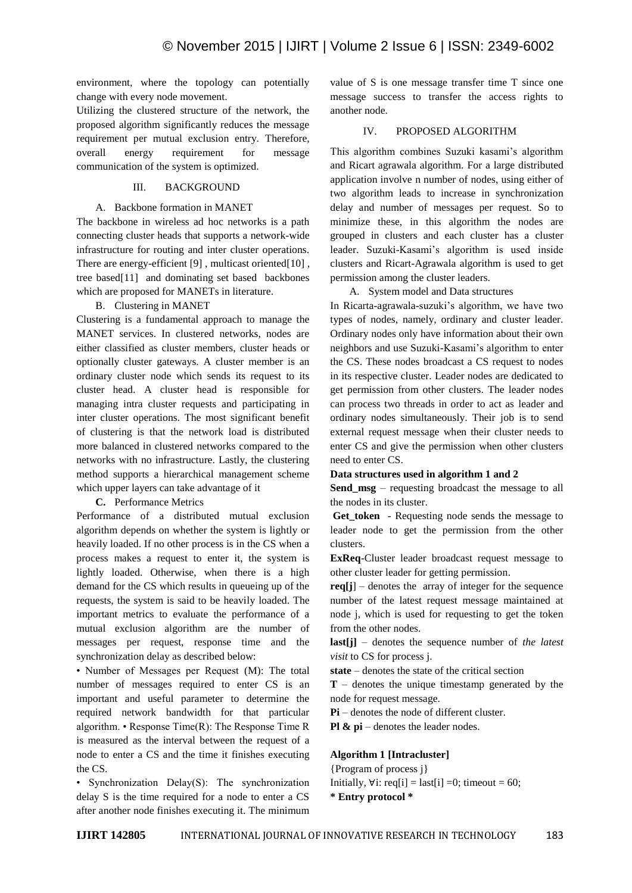environment, where the topology can potentially change with every node movement.

Utilizing the clustered structure of the network, the proposed algorithm significantly reduces the message requirement per mutual exclusion entry. Therefore, overall energy requirement for message communication of the system is optimized.

### III. BACKGROUND

## A. Backbone formation in MANET

The backbone in wireless ad hoc networks is a path connecting cluster heads that supports a network-wide infrastructure for routing and inter cluster operations. There are energy-efficient [9], multicast oriented[10], tree based[11] and dominating set based backbones which are proposed for MANETs in literature.

# B. Clustering in MANET

Clustering is a fundamental approach to manage the MANET services. In clustered networks, nodes are either classified as cluster members, cluster heads or optionally cluster gateways. A cluster member is an ordinary cluster node which sends its request to its cluster head. A cluster head is responsible for managing intra cluster requests and participating in inter cluster operations. The most significant benefit of clustering is that the network load is distributed more balanced in clustered networks compared to the networks with no infrastructure. Lastly, the clustering method supports a hierarchical management scheme which upper layers can take advantage of it

**C.** Performance Metrics

Performance of a distributed mutual exclusion algorithm depends on whether the system is lightly or heavily loaded. If no other process is in the CS when a process makes a request to enter it, the system is lightly loaded. Otherwise, when there is a high demand for the CS which results in queueing up of the requests, the system is said to be heavily loaded. The important metrics to evaluate the performance of a mutual exclusion algorithm are the number of messages per request, response time and the synchronization delay as described below:

• Number of Messages per Request (M): The total number of messages required to enter CS is an important and useful parameter to determine the required network bandwidth for that particular algorithm. • Response Time(R): The Response Time R is measured as the interval between the request of a node to enter a CS and the time it finishes executing the CS.

• Synchronization Delay(S): The synchronization delay S is the time required for a node to enter a CS after another node finishes executing it. The minimum value of S is one message transfer time T since one message success to transfer the access rights to another node.

# IV. PROPOSED ALGORITHM

This algorithm combines Suzuki kasami's algorithm and Ricart agrawala algorithm. For a large distributed application involve n number of nodes, using either of two algorithm leads to increase in synchronization delay and number of messages per request. So to minimize these, in this algorithm the nodes are grouped in clusters and each cluster has a cluster leader. Suzuki-Kasami's algorithm is used inside clusters and Ricart-Agrawala algorithm is used to get permission among the cluster leaders.

A. System model and Data structures

In Ricarta-agrawala-suzuki's algorithm, we have two types of nodes, namely, ordinary and cluster leader. Ordinary nodes only have information about their own neighbors and use Suzuki-Kasami's algorithm to enter the CS. These nodes broadcast a CS request to nodes in its respective cluster. Leader nodes are dedicated to get permission from other clusters. The leader nodes can process two threads in order to act as leader and ordinary nodes simultaneously. Their job is to send external request message when their cluster needs to enter CS and give the permission when other clusters need to enter CS.

### **Data structures used in algorithm 1 and 2**

**Send msg** – requesting broadcast the message to all the nodes in its cluster.

**Get\_token** - Requesting node sends the message to leader node to get the permission from the other clusters.

**ExReq**-Cluster leader broadcast request message to other cluster leader for getting permission.

**req[j**] – denotes the array of integer for the sequence number of the latest request message maintained at node j, which is used for requesting to get the token from the other nodes.

**last[j]** – denotes the sequence number of *the latest visit* to CS for process j.

**state** – denotes the state of the critical section

**T** – denotes the unique timestamp generated by the node for request message.

**Pi** – denotes the node of different cluster.

**Pl & pi** – denotes the leader nodes.

# **Algorithm 1 [Intracluster]**

{Program of process j} Initially,  $\forall i$ : req[i] = last[i] =0; timeout = 60; **\* Entry protocol \***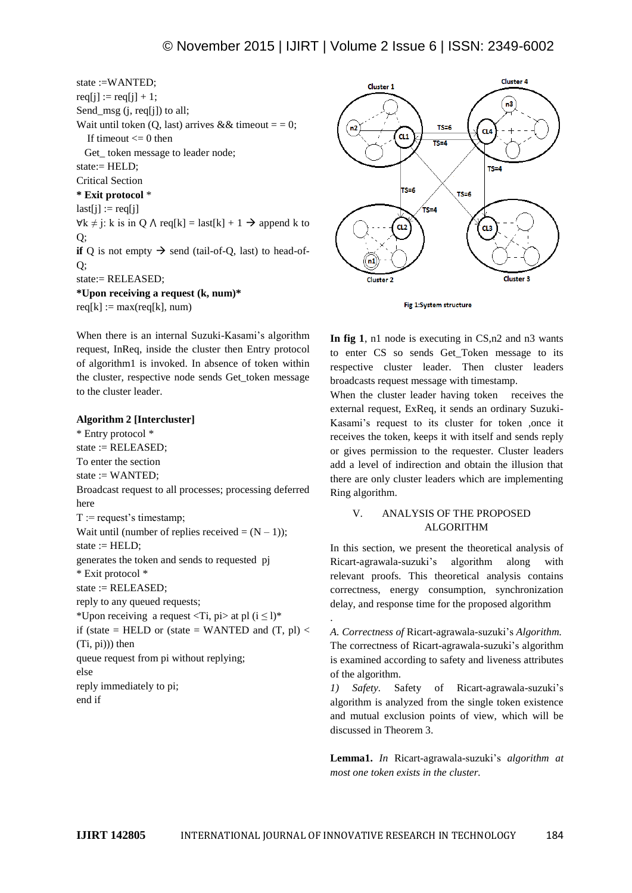state :=WANTED;  $req[i] := req[i] + 1;$ Send\_msg (j, req[j]) to all; Wait until token (Q, last) arrives && timeout  $=$  = 0; If timeout  $\leq 0$  then Get token message to leader node; state:= HELD; Critical Section **\* Exit protocol** \*  $last[i] := \text{req}[i]$  $\forall k \neq j$ : k is in Q  $\land$  req[k] = last[k] + 1 → append k to Q; **if** Q is not empty  $\rightarrow$  send (tail-of-Q, last) to head-of- $O:$ state:= RELEASED; **\*Upon receiving a request (k, num)\***  $req[k] := max(req[k], num)$ 

When there is an internal Suzuki-Kasami's algorithm request, InReq, inside the cluster then Entry protocol of algorithm1 is invoked. In absence of token within the cluster, respective node sends Get\_token message to the cluster leader.

#### **Algorithm 2 [Intercluster]**

\* Entry protocol \* state := RELEASED; To enter the section state  $:=$  WANTED; Broadcast request to all processes; processing deferred here  $T :=$  request's timestamp: Wait until (number of replies received  $= (N - 1)$ ); state  $:=$  HELD; generates the token and sends to requested pj \* Exit protocol \* state := RELEASED; reply to any queued requests; \*Upon receiving a request  $\langle Ti, pi \rangle$  at pl  $(i \leq l)$ \* if (state = HELD or (state = WANTED and  $(T, pl)$  < (Ti, pi))) then queue request from pi without replying; else reply immediately to pi; end if





**In fig 1**, n1 node is executing in CS,n2 and n3 wants to enter CS so sends Get\_Token message to its respective cluster leader. Then cluster leaders broadcasts request message with timestamp.

When the cluster leader having token receives the external request, ExReq, it sends an ordinary Suzuki-Kasami's request to its cluster for token ,once it receives the token, keeps it with itself and sends reply or gives permission to the requester. Cluster leaders add a level of indirection and obtain the illusion that there are only cluster leaders which are implementing Ring algorithm.

# V. ANALYSIS OF THE PROPOSED ALGORITHM

In this section, we present the theoretical analysis of Ricart-agrawala-suzuki's algorithm along with relevant proofs. This theoretical analysis contains correctness, energy consumption, synchronization delay, and response time for the proposed algorithm

*A. Correctness of* Ricart-agrawala-suzuki's *Algorithm.* The correctness of Ricart-agrawala-suzuki's algorithm is examined according to safety and liveness attributes of the algorithm.

*1) Safety.* Safety of Ricart-agrawala-suzuki's algorithm is analyzed from the single token existence and mutual exclusion points of view, which will be discussed in Theorem 3.

**Lemma1.** *In* Ricart-agrawala-suzuki's *algorithm at most one token exists in the cluster.*

.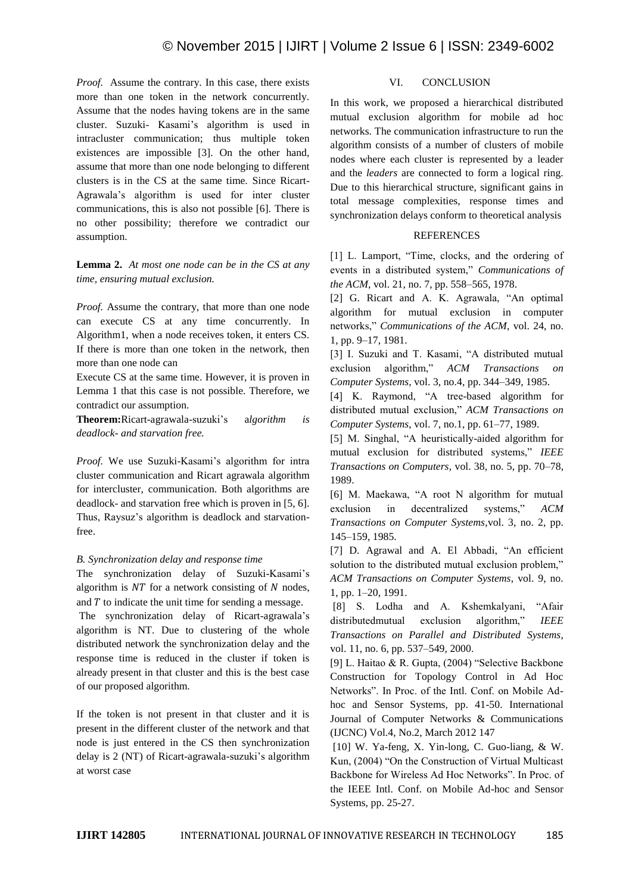*Proof.* Assume the contrary. In this case, there exists more than one token in the network concurrently. Assume that the nodes having tokens are in the same cluster. Suzuki- Kasami's algorithm is used in intracluster communication; thus multiple token existences are impossible [3]. On the other hand, assume that more than one node belonging to different clusters is in the CS at the same time. Since Ricart-Agrawala's algorithm is used for inter cluster communications, this is also not possible [6]. There is no other possibility; therefore we contradict our assumption.

**Lemma 2.** *At most one node can be in the CS at any time, ensuring mutual exclusion.*

*Proof.* Assume the contrary, that more than one node can execute CS at any time concurrently. In Algorithm1, when a node receives token, it enters CS. If there is more than one token in the network, then more than one node can

Execute CS at the same time. However, it is proven in Lemma 1 that this case is not possible. Therefore, we contradict our assumption.

**Theorem:**Ricart-agrawala-suzuki's a*lgorithm is deadlock- and starvation free.*

*Proof.* We use Suzuki-Kasami's algorithm for intra cluster communication and Ricart agrawala algorithm for intercluster, communication. Both algorithms are deadlock- and starvation free which is proven in [5, 6]. Thus, Raysuz's algorithm is deadlock and starvationfree.

# *B. Synchronization delay and response time*

The synchronization delay of Suzuki-Kasami's algorithm is  $NT$  for a network consisting of  $N$  nodes, and  $T$  to indicate the unit time for sending a message.

The synchronization delay of Ricart-agrawala's algorithm is NT. Due to clustering of the whole distributed network the synchronization delay and the response time is reduced in the cluster if token is already present in that cluster and this is the best case of our proposed algorithm.

If the token is not present in that cluster and it is present in the different cluster of the network and that node is just entered in the CS then synchronization delay is 2 (NT) of Ricart-agrawala-suzuki's algorithm at worst case

## VI. CONCLUSION

In this work, we proposed a hierarchical distributed mutual exclusion algorithm for mobile ad hoc networks. The communication infrastructure to run the algorithm consists of a number of clusters of mobile nodes where each cluster is represented by a leader and the *leaders* are connected to form a logical ring. Due to this hierarchical structure, significant gains in total message complexities, response times and synchronization delays conform to theoretical analysis

## **REFERENCES**

[1] L. Lamport, "Time, clocks, and the ordering of events in a distributed system," *Communications of the ACM*, vol. 21, no. 7, pp. 558–565, 1978.

[2] G. Ricart and A. K. Agrawala, "An optimal algorithm for mutual exclusion in computer networks," *Communications of the ACM*, vol. 24, no. 1, pp. 9–17, 1981.

[3] I. Suzuki and T. Kasami, "A distributed mutual exclusion algorithm," *ACM Transactions on Computer Systems*, vol. 3, no.4, pp. 344–349, 1985.

[4] K. Raymond, "A tree-based algorithm for distributed mutual exclusion," *ACM Transactions on Computer Systems*, vol. 7, no.1, pp. 61–77, 1989.

[5] M. Singhal, "A heuristically-aided algorithm for mutual exclusion for distributed systems," *IEEE Transactions on Computers*, vol. 38, no. 5, pp. 70–78, 1989.

[6] M. Maekawa, "A root N algorithm for mutual exclusion in decentralized systems," *ACM Transactions on Computer Systems*,vol. 3, no. 2, pp. 145–159, 1985.

[7] D. Agrawal and A. El Abbadi, "An efficient solution to the distributed mutual exclusion problem," *ACM Transactions on Computer Systems*, vol. 9, no. 1, pp. 1–20, 1991.

[8] S. Lodha and A. Kshemkalyani, "Afair distributedmutual exclusion algorithm," *IEEE Transactions on Parallel and Distributed Systems*, vol. 11, no. 6, pp. 537–549, 2000.

[9] L. Haitao & R. Gupta, (2004) "Selective Backbone Construction for Topology Control in Ad Hoc Networks". In Proc. of the Intl. Conf. on Mobile Adhoc and Sensor Systems, pp. 41-50. International Journal of Computer Networks & Communications (IJCNC) Vol.4, No.2, March 2012 147

[10] W. Ya-feng, X. Yin-long, C. Guo-liang, & W. Kun, (2004) "On the Construction of Virtual Multicast Backbone for Wireless Ad Hoc Networks". In Proc. of the IEEE Intl. Conf. on Mobile Ad-hoc and Sensor Systems, pp. 25-27.